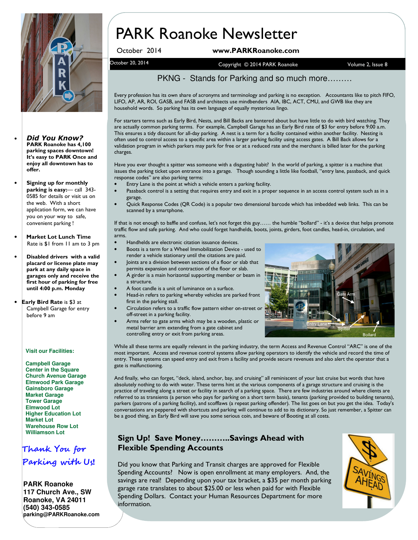

- Did You Know? PARK Roanoke has 4,100 parking spaces downtown! It's easy to PARK Once and enjoy all downtown has to offer.
- Signing up for monthly parking is easy:— call 343- 0585 for details or visit us on the web. With a short application form, we can have you on your way to safe, convenient parking !
- Market Lot Lunch Time Rate is \$1 from 11 am to 3 pm
- Disabled drivers with a valid placard or license plate may park at any daily space in garages only and receive the first hour of parking for free until 4:00 p.m. Monday
- Early Bird Rate is \$3 at Campbell Garage for entry before 9 am

#### **Visit our Facilities:**

**Campbell Garage Center in the Square Church Avenue Garage Elmwood Park Garage Gainsboro Garage Market Garage Tower Garage Elmwood Lot Higher Education Lot Market Lot Warehouse Row Lot Williamson Lot**

### Thank You for Parking with Us!

**PARK Roanoke 117 Church Ave., SW Roanoke, VA 24011 (540) 343-0585 parking@PARKRoanoke.com** 

# PARK Roanoke Newsletter

#### October 2014 www.PARKRoanoke.com

October 20, 2014 **Volume 2, Issue 8** Copyright © 2014 PARK Roanoke Volume 2, Issue 8

#### PKNG - Stands for Parking and so much more………

Every profession has its own share of acronyms and terminology and parking is no exception. Accountants like to pitch FIFO, LIFO, AP, AR, ROI, GASB, and FASB and architects use mindbenders AIA, IBC, ACT, CMU, and GWB like they are household words. So parking has its own language of equally mysterious lingo.

For starters terms such as Early Bird, Nests, and Bill Backs are bantered about but have little to do with bird watching. They are actually common parking terms. For example, Campbell Garage has an Early Bird rate of \$3 for entry before 9:00 a.m. This ensures a tidy discount for all-day parking. A nest is a term for a facility contained within another facility. Nesting is often used to control access to a specific area within a larger parking facility using access gates. A Bill Back allows for a validation program in which parkers may park for free or at a reduced rate and the merchant is billed later for the parking charges.

Have you ever thought a spitter was someone with a disgusting habit? In the world of parking, a spitter is a machine that issues the parking ticket upon entrance into a garage. Though sounding a little like football, "entry lane, passback, and quick response codes" are also parking terms:

- Entry Lane is the point at which a vehicle enters a parking facility.
- Passback control is a setting that requires entry and exit in a proper sequence in an access control system such as in a garage.
- Quick Response Codes (QR Code) is a popular two dimensional barcode which has imbedded web links. This can be scanned by a smartphone.

If that is not enough to baffle and confuse, let's not forget this guy…… the humble "bollard" - it's a device that helps promote traffic flow and safe parking. And who could forget handhelds, boots, joints, girders, foot candles, head-in, circulation, and arms.

- Handhelds are electronic citation issuance devices.
- Boots is a term for a Wheel Immobilization Device used to render a vehicle stationary until the citations are paid.
- Joints are a division between sections of a floor or slab that permits expansion and contraction of the floor or slab.
- A girder is a main horizontal supporting member or beam in a structure.
- A foot candle is a unit of luminance on a surface.
- Head-in refers to parking whereby vehicles are parked front first in the parking stall.
- Circulation refers to a traffic flow pattern either on-street or off-street in a parking facility.
- Arms refer to gate arms which may be a wooden, plastic or metal barrier arm extending from a gate cabinet and controlling entry or exit from parking areas.



While all these terms are equally relevant in the parking industry, the term Access and Revenue Control "ARC" is one of the most important. Access and revenue control systems allow parking operators to identify the vehicle and record the time of entry. These systems can speed entry and exit from a facility and provide secure revenues and also alert the operator that a gate is malfunctioning.

And finally, who can forget, "deck, island, anchor, bay, and cruising" all reminiscent of your last cruise but words that have absolutely nothing to do with water. These terms hint at the various components of a garage structure and cruising is the practice of traveling along a street or facility in search of a parking space. There are few industries around where clients are referred to as transients (a person who pays for parking on a short term basis), tenants (parking provided to building tenants), parkers (patrons of a parking facility), and scofflaws (a repeat parking offender). The list goes on but you get the idea. Today's conversations are peppered with shortcuts and parking will continue to add to its dictionary. So just remember, a Spitter can be a good thing, an Early Bird will save you some serious coin, and beware of Booting at all costs.

#### Sign Up! Save Money………..Savings Ahead with Flexible Spending Accounts

Did you know that Parking and Transit charges are approved for Flexible Spending Accounts? Now is open enrollment at many employers. And, the savings are real! Depending upon your tax bracket, a \$35 per month parking garage rate translates to about \$25.00 or less when paid for with Flexible Spending Dollars. Contact your Human Resources Department for more information.